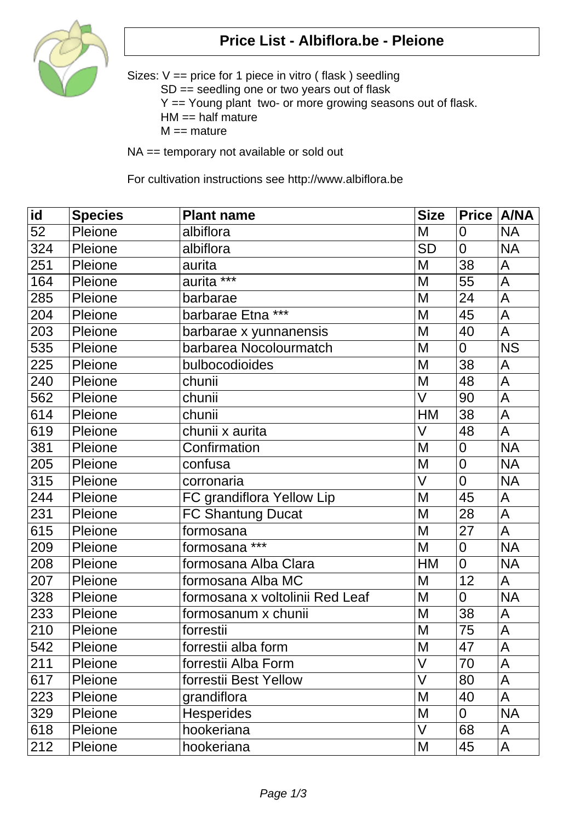

## **Price List - Albiflora.be - Pleione**

Sizes: V == price for 1 piece in vitro ( flask ) seedling SD == seedling one or two years out of flask Y == Young plant two- or more growing seasons out of flask.  $HM == half mature$  $M ==$  mature

NA == temporary not available or sold out

For cultivation instructions see http://www.albiflora.be

| $\overline{\mathsf{id}}$ | <b>Species</b> | <b>Plant name</b>               | <b>Size</b> | Price   A/NA   |             |
|--------------------------|----------------|---------------------------------|-------------|----------------|-------------|
| 52                       | Pleione        | albiflora                       | M           | 0              | <b>NA</b>   |
| 324                      | Pleione        | albiflora                       | <b>SD</b>   | $\overline{0}$ | <b>NA</b>   |
| 251                      | Pleione        | aurita                          | M           | 38             | A           |
| 164                      | Pleione        | aurita <sup>***</sup>           | M           | 55             | $\mathsf A$ |
| 285                      | Pleione        | barbarae                        | M           | 24             | ${\sf A}$   |
| 204                      | Pleione        | barbarae Etna <sup>***</sup>    | M           | 45             | A           |
| 203                      | Pleione        | barbarae x yunnanensis          | M           | 40             | A           |
| 535                      | Pleione        | barbarea Nocolourmatch          | M           | $\overline{0}$ | <b>NS</b>   |
| 225                      | Pleione        | bulbocodioides                  | M           | 38             | A           |
| 240                      | Pleione        | chunii                          | M           | 48             | $\mathsf A$ |
| 562                      | Pleione        | chunii                          | V           | 90             | A           |
| 614                      | Pleione        | chunii                          | HM          | 38             | A           |
| 619                      | Pleione        | chunii x aurita                 | V           | 48             | A           |
| 381                      | Pleione        | Confirmation                    | M           | $\overline{0}$ | <b>NA</b>   |
| 205                      | Pleione        | confusa                         | M           | $\mathbf 0$    | <b>NA</b>   |
| 315                      | Pleione        | corronaria                      | $\vee$      | $\overline{0}$ | <b>NA</b>   |
| 244                      | Pleione        | FC grandiflora Yellow Lip       | M           | 45             | A           |
| 231                      | Pleione        | <b>FC Shantung Ducat</b>        | M           | 28             | A           |
| 615                      | Pleione        | formosana                       | M           | 27             | A           |
| 209                      | Pleione        | formosana ***                   | M           | $\overline{0}$ | <b>NA</b>   |
| 208                      | Pleione        | formosana Alba Clara            | HM          | $\overline{0}$ | <b>NA</b>   |
| 207                      | Pleione        | formosana Alba MC               | M           | 12             | A           |
| 328                      | Pleione        | formosana x voltolinii Red Leaf | M           | $\overline{0}$ | <b>NA</b>   |
| 233                      | Pleione        | formosanum x chunii             | M           | 38             | A           |
| 210                      | Pleione        | forrestii                       | M           | 75             | A           |
| 542                      | Pleione        | forrestii alba form             | M           | 47             | A           |
| 211                      | Pleione        | forrestii Alba Form             | V           | 70             | A           |
| 617                      | Pleione        | forrestii Best Yellow           | V           | 80             | A           |
| 223                      | Pleione        | grandiflora                     | M           | 40             | A           |
| 329                      | Pleione        | <b>Hesperides</b>               | M           | 0              | <b>NA</b>   |
| 618                      | Pleione        | hookeriana                      | V           | 68             | A           |
| 212                      | Pleione        | hookeriana                      | M           | 45             | A           |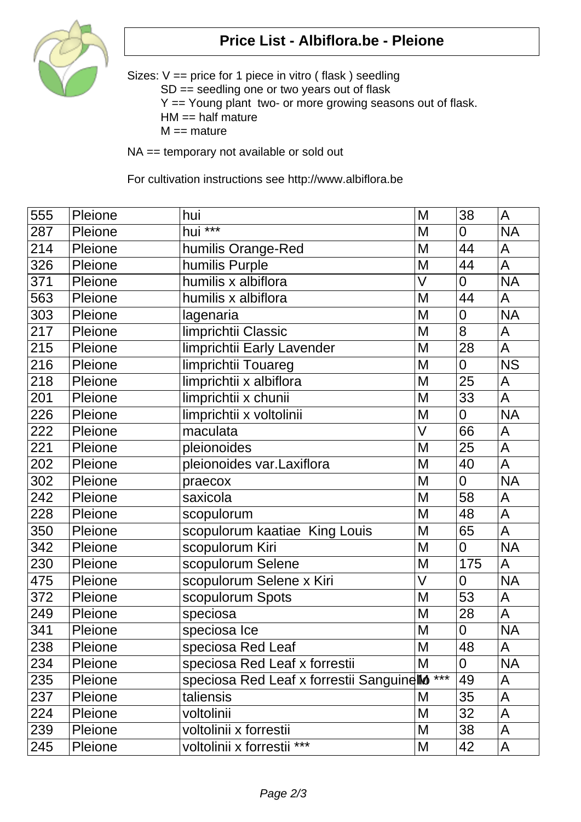

## **Price List - Albiflora.be - Pleione**

Sizes: V == price for 1 piece in vitro ( flask ) seedling SD == seedling one or two years out of flask Y == Young plant two- or more growing seasons out of flask.  $HM == half mature$  $M ==$  mature

NA == temporary not available or sold out

For cultivation instructions see http://www.albiflora.be

| 555 | Pleione | hui                                                      | M                 | 38             | A                      |
|-----|---------|----------------------------------------------------------|-------------------|----------------|------------------------|
| 287 | Pleione | hui ***                                                  | M                 | $\overline{0}$ | <b>NA</b>              |
| 214 | Pleione | humilis Orange-Red                                       | M                 | 44             | A                      |
| 326 | Pleione | humilis Purple                                           | M                 | 44             | A                      |
| 371 | Pleione | humilis x albiflora                                      | V                 | $\overline{0}$ | <b>NA</b>              |
| 563 | Pleione | humilis x albiflora                                      | M                 | 44             | $\mathsf{A}$           |
| 303 | Pleione | lagenaria                                                | M                 | $\mathbf 0$    | <b>NA</b>              |
| 217 | Pleione | limprichtii Classic                                      | M                 | 8              | A                      |
| 215 | Pleione | limprichtii Early Lavender                               | M                 | 28             | $\overline{A}$         |
| 216 | Pleione | limprichtii Touareg                                      | M                 | $\overline{0}$ | $\overline{\text{NS}}$ |
| 218 | Pleione | limprichtii x albiflora                                  | M                 | 25             | A                      |
| 201 | Pleione | limprichtii x chunii                                     | M                 | 33             | $\mathsf{A}$           |
| 226 | Pleione | limprichtii x voltolinii                                 | M                 | $\overline{0}$ | <b>NA</b>              |
| 222 | Pleione | maculata                                                 | V                 | 66             | A                      |
| 221 | Pleione | pleionoides                                              | M                 | 25             | $\overline{A}$         |
| 202 | Pleione | pleionoides var.Laxiflora                                | M                 | 40             | A                      |
| 302 | Pleione | praecox                                                  | M                 | $\overline{0}$ | <b>NA</b>              |
| 242 | Pleione | saxicola                                                 | M                 | 58             | A                      |
| 228 | Pleione | scopulorum                                               | M                 | 48             | A                      |
| 350 | Pleione | scopulorum kaatiae King Louis                            | M                 | 65             | A                      |
| 342 | Pleione | scopulorum Kiri                                          | M                 | $\overline{0}$ | <b>NA</b>              |
| 230 | Pleione | scopulorum Selene                                        | M                 | 175            | A                      |
| 475 | Pleione | scopulorum Selene x Kiri                                 | $\overline{\vee}$ | $\overline{0}$ | <b>NA</b>              |
| 372 | Pleione | scopulorum Spots                                         | M                 | 53             | A                      |
| 249 | Pleione | speciosa                                                 | M                 | 28             | A                      |
| 341 | Pleione | speciosa Ice                                             | M                 | $\mathbf 0$    | <b>NA</b>              |
| 238 | Pleione | speciosa Red Leaf                                        | M                 | 48             | A                      |
| 234 | Pleione | speciosa Red Leaf x forrestii                            | M                 | 0              | <b>NA</b>              |
| 235 | Pleione | speciosa Red Leaf x forrestil Sanguinello <sup>***</sup> |                   | 49             | A                      |
| 237 | Pleione | taliensis                                                | Μ                 | 35             | A                      |
| 224 | Pleione | voltolinii                                               | M                 | 32             | A                      |
| 239 | Pleione | voltolinii x forrestii                                   | M                 | 38             | A                      |
| 245 | Pleione | voltolinii x forrestii ***                               | M                 | 42             | A                      |